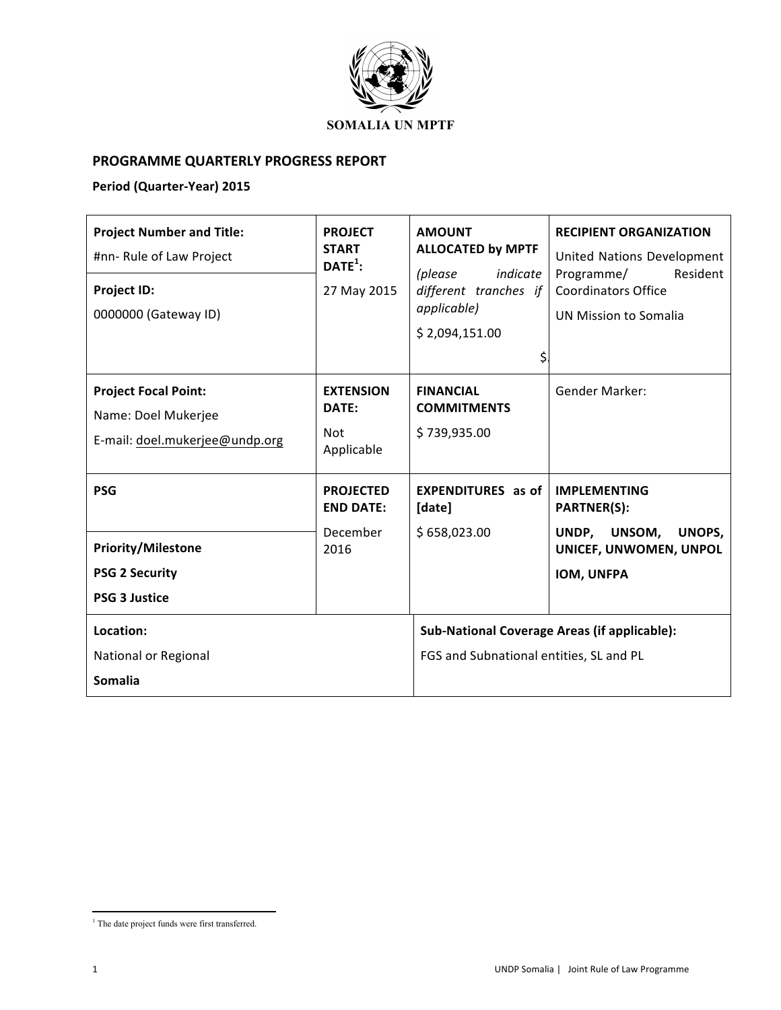

## **PROGRAMME QUARTERLY PROGRESS REPORT**

## Period (Quarter-Year) 2015

| <b>Project Number and Title:</b><br>#nn- Rule of Law Project<br><b>Project ID:</b><br>0000000 (Gateway ID) | <b>PROJECT</b><br><b>START</b><br>$\mathsf{DATE}^1$ :<br>27 May 2015 | <b>AMOUNT</b><br><b>ALLOCATED by MPTF</b><br>(please<br>indicate<br>different tranches if<br>applicable)<br>\$2,094,151.00<br>\$ | <b>RECIPIENT ORGANIZATION</b><br>United Nations Development<br>Resident<br>Programme/<br><b>Coordinators Office</b><br>UN Mission to Somalia |
|------------------------------------------------------------------------------------------------------------|----------------------------------------------------------------------|----------------------------------------------------------------------------------------------------------------------------------|----------------------------------------------------------------------------------------------------------------------------------------------|
| <b>Project Focal Point:</b><br>Name: Doel Mukerjee<br>E-mail: doel.mukerjee@undp.org                       | <b>EXTENSION</b><br>DATE:<br>Not<br>Applicable                       | <b>FINANCIAL</b><br><b>COMMITMENTS</b><br>\$739,935.00                                                                           | <b>Gender Marker:</b>                                                                                                                        |
| <b>PSG</b><br><b>Priority/Milestone</b><br><b>PSG 2 Security</b><br><b>PSG 3 Justice</b>                   | <b>PROJECTED</b><br><b>END DATE:</b><br>December<br>2016             | <b>EXPENDITURES</b> as of<br>[date]<br>\$658,023.00                                                                              | <b>IMPLEMENTING</b><br><b>PARTNER(S):</b><br>UNDP, UNSOM,<br>UNOPS,<br>UNICEF, UNWOMEN, UNPOL<br><b>IOM, UNFPA</b>                           |
| Location:<br>National or Regional<br><b>Somalia</b>                                                        |                                                                      | Sub-National Coverage Areas (if applicable):<br>FGS and Subnational entities, SL and PL                                          |                                                                                                                                              |

  $^{\rm 1}$  The date project funds were first transferred.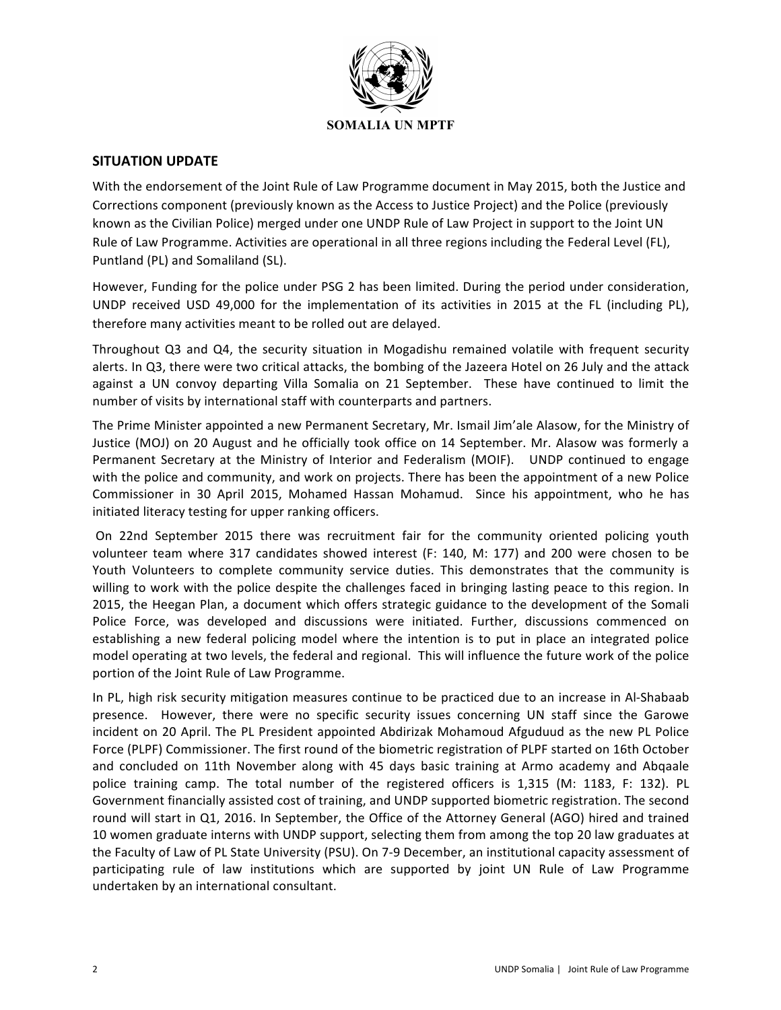

## **SITUATION UPDATE**

With the endorsement of the Joint Rule of Law Programme document in May 2015, both the Justice and Corrections component (previously known as the Access to Justice Project) and the Police (previously known as the Civilian Police) merged under one UNDP Rule of Law Project in support to the Joint UN Rule of Law Programme. Activities are operational in all three regions including the Federal Level (FL), Puntland (PL) and Somaliland (SL).

However, Funding for the police under PSG 2 has been limited. During the period under consideration, UNDP received USD 49,000 for the implementation of its activities in 2015 at the FL (including PL), therefore many activities meant to be rolled out are delayed.

Throughout Q3 and Q4, the security situation in Mogadishu remained volatile with frequent security alerts. In Q3, there were two critical attacks, the bombing of the Jazeera Hotel on 26 July and the attack against a UN convoy departing Villa Somalia on 21 September. These have continued to limit the number of visits by international staff with counterparts and partners.

The Prime Minister appointed a new Permanent Secretary, Mr. Ismail Jim'ale Alasow, for the Ministry of Justice (MOJ) on 20 August and he officially took office on 14 September. Mr. Alasow was formerly a Permanent Secretary at the Ministry of Interior and Federalism (MOIF). UNDP continued to engage with the police and community, and work on projects. There has been the appointment of a new Police Commissioner in 30 April 2015, Mohamed Hassan Mohamud. Since his appointment, who he has initiated literacy testing for upper ranking officers.

On 22nd September 2015 there was recruitment fair for the community oriented policing youth volunteer team where 317 candidates showed interest (F: 140, M: 177) and 200 were chosen to be Youth Volunteers to complete community service duties. This demonstrates that the community is willing to work with the police despite the challenges faced in bringing lasting peace to this region. In 2015, the Heegan Plan, a document which offers strategic guidance to the development of the Somali Police Force, was developed and discussions were initiated. Further, discussions commenced on establishing a new federal policing model where the intention is to put in place an integrated police model operating at two levels, the federal and regional. This will influence the future work of the police portion of the Joint Rule of Law Programme.

In PL, high risk security mitigation measures continue to be practiced due to an increase in Al-Shabaab presence. However, there were no specific security issues concerning UN staff since the Garowe incident on 20 April. The PL President appointed Abdirizak Mohamoud Afguduud as the new PL Police Force (PLPF) Commissioner. The first round of the biometric registration of PLPF started on 16th October and concluded on 11th November along with 45 days basic training at Armo academy and Abqaale police training camp. The total number of the registered officers is 1,315 (M: 1183, F: 132). PL Government financially assisted cost of training, and UNDP supported biometric registration. The second round will start in Q1, 2016. In September, the Office of the Attorney General (AGO) hired and trained 10 women graduate interns with UNDP support, selecting them from among the top 20 law graduates at the Faculty of Law of PL State University (PSU). On 7-9 December, an institutional capacity assessment of participating rule of law institutions which are supported by joint UN Rule of Law Programme undertaken by an international consultant.